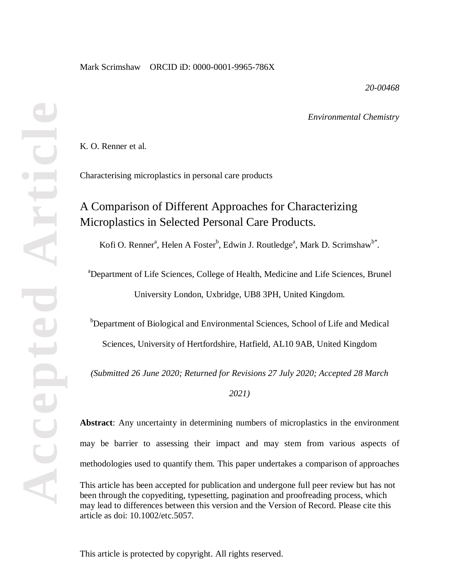*20-00468*

*Environmental Chemistry*

K. O. Renner et al.

Characterising microplastics in personal care products

# A Comparison of Different Approaches for Characterizing Microplastics in Selected Personal Care Products.

Kofi O. Renner<sup>a</sup>, Helen A Foster<sup>b</sup>, Edwin J. Routledge<sup>a</sup>, Mark D. Scrimshaw<sup>b\*</sup>.

a Department of Life Sciences, College of Health, Medicine and Life Sciences, Brunel University London, Uxbridge, UB8 3PH, United Kingdom.

<sup>b</sup>Department of Biological and Environmental Sciences, School of Life and Medical Sciences, University of Hertfordshire, Hatfield, AL10 9AB, United Kingdom

*(Submitted 26 June 2020; Returned for Revisions 27 July 2020; Accepted 28 March* 

*2021)*

**Abstract**: Any uncertainty in determining numbers of microplastics in the environment may be barrier to assessing their impact and may stem from various aspects of methodologies used to quantify them. This paper undertakes a comparison of approaches

This article has been accepted for publication and undergone full peer review but has not been through the copyediting, typesetting, pagination and proofreading process, which may lead to differences between this version and the Version of Record. Please cite this article as doi: 10.1002/etc.5057.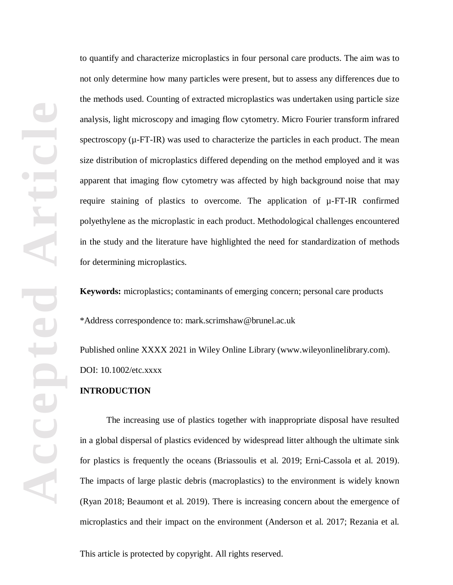to quantify and characterize microplastics in four personal care products. The aim was to not only determine how many particles were present, but to assess any differences due to the methods used. Counting of extracted microplastics was undertaken using particle size analysis, light microscopy and imaging flow cytometry. Micro Fourier transform infrared spectroscopy  $(\mu - FT-IR)$  was used to characterize the particles in each product. The mean size distribution of microplastics differed depending on the method employed and it was apparent that imaging flow cytometry was affected by high background noise that may require staining of plastics to overcome. The application of µ-FT-IR confirmed polyethylene as the microplastic in each product. Methodological challenges encountered in the study and the literature have highlighted the need for standardization of methods for determining microplastics.

**Keywords:** microplastics; contaminants of emerging concern; personal care products

\*Address correspondence to: mark.scrimshaw@brunel.ac.uk

Published online XXXX 2021 in Wiley Online Library (www.wileyonlinelibrary.com). DOI: 10.1002/etc.xxxx

## **INTRODUCTION**

The increasing use of plastics together with inappropriate disposal have resulted in a global dispersal of plastics evidenced by widespread litter although the ultimate sink for plastics is frequently the oceans (Briassoulis et al. 2019; Erni-Cassola et al. 2019). The impacts of large plastic debris (macroplastics) to the environment is widely known (Ryan 2018; Beaumont et al. 2019). There is increasing concern about the emergence of microplastics and their impact on the environment (Anderson et al. 2017; Rezania et al.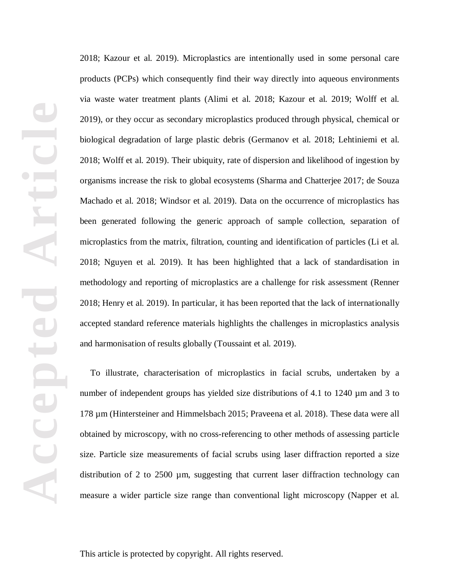2018; Kazour et al. 2019). Microplastics are intentionally used in some personal care products (PCPs) which consequently find their way directly into aqueous environments via waste water treatment plants (Alimi et al. 2018; Kazour et al. 2019; Wolff et al. 2019), or they occur as secondary microplastics produced through physical, chemical or biological degradation of large plastic debris (Germanov et al. 2018; Lehtiniemi et al. 2018; Wolff et al. 2019). Their ubiquity, rate of dispersion and likelihood of ingestion by organisms increase the risk to global ecosystems (Sharma and Chatterjee 2017; de Souza Machado et al. 2018; Windsor et al. 2019). Data on the occurrence of microplastics has been generated following the generic approach of sample collection, separation of microplastics from the matrix, filtration, counting and identification of particles (Li et al. 2018; Nguyen et al. 2019). It has been highlighted that a lack of standardisation in methodology and reporting of microplastics are a challenge for risk assessment (Renner 2018; Henry et al. 2019). In particular, it has been reported that the lack of internationally accepted standard reference materials highlights the challenges in microplastics analysis and harmonisation of results globally (Toussaint et al. 2019).

To illustrate, characterisation of microplastics in facial scrubs, undertaken by a number of independent groups has yielded size distributions of 4.1 to 1240 µm and 3 to 178 µm (Hintersteiner and Himmelsbach 2015; Praveena et al. 2018). These data were all obtained by microscopy, with no cross-referencing to other methods of assessing particle size. Particle size measurements of facial scrubs using laser diffraction reported a size distribution of 2 to 2500 µm, suggesting that current laser diffraction technology can measure a wider particle size range than conventional light microscopy (Napper et al.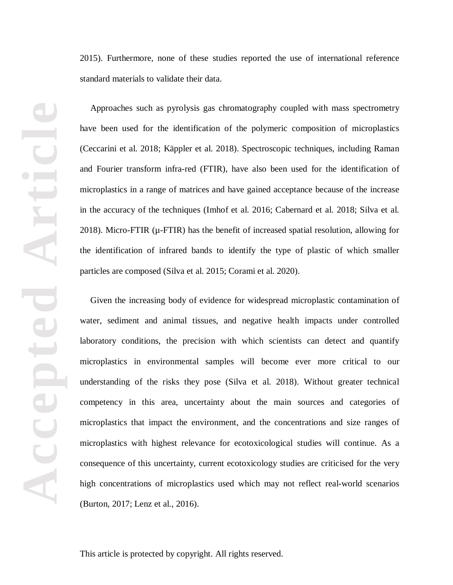2015). Furthermore, none of these studies reported the use of international reference standard materials to validate their data.

Approaches such as pyrolysis gas chromatography coupled with mass spectrometry have been used for the identification of the polymeric composition of microplastics (Ceccarini et al. 2018; Käppler et al. 2018). Spectroscopic techniques, including Raman and Fourier transform infra-red (FTIR), have also been used for the identification of microplastics in a range of matrices and have gained acceptance because of the increase in the accuracy of the techniques (Imhof et al. 2016; Cabernard et al. 2018; Silva et al. 2018). Micro-FTIR (µ-FTIR) has the benefit of increased spatial resolution, allowing for the identification of infrared bands to identify the type of plastic of which smaller particles are composed (Silva et al. 2015; Corami et al. 2020).

Given the increasing body of evidence for widespread microplastic contamination of water, sediment and animal tissues, and negative health impacts under controlled laboratory conditions, the precision with which scientists can detect and quantify microplastics in environmental samples will become ever more critical to our understanding of the risks they pose (Silva et al. 2018). Without greater technical competency in this area, uncertainty about the main sources and categories of microplastics that impact the environment, and the concentrations and size ranges of microplastics with highest relevance for ecotoxicological studies will continue. As a consequence of this uncertainty, current ecotoxicology studies are criticised for the very high concentrations of microplastics used which may not reflect real-world scenarios (Burton, 2017; Lenz et al., 2016).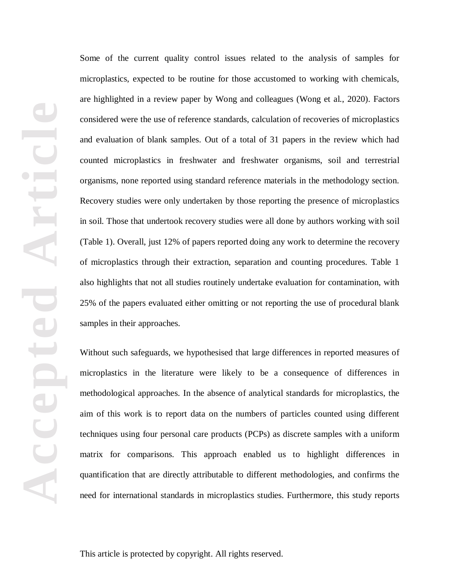Some of the current quality control issues related to the analysis of samples for microplastics, expected to be routine for those accustomed to working with chemicals, are highlighted in a review paper by Wong and colleagues (Wong et al., 2020). Factors considered were the use of reference standards, calculation of recoveries of microplastics and evaluation of blank samples. Out of a total of 31 papers in the review which had counted microplastics in freshwater and freshwater organisms, soil and terrestrial organisms, none reported using standard reference materials in the methodology section. Recovery studies were only undertaken by those reporting the presence of microplastics in soil. Those that undertook recovery studies were all done by authors working with soil (Table 1). Overall, just 12% of papers reported doing any work to determine the recovery of microplastics through their extraction, separation and counting procedures. Table 1 also highlights that not all studies routinely undertake evaluation for contamination, with 25% of the papers evaluated either omitting or not reporting the use of procedural blank samples in their approaches.

Without such safeguards, we hypothesised that large differences in reported measures of microplastics in the literature were likely to be a consequence of differences in methodological approaches. In the absence of analytical standards for microplastics, the aim of this work is to report data on the numbers of particles counted using different techniques using four personal care products (PCPs) as discrete samples with a uniform matrix for comparisons. This approach enabled us to highlight differences in quantification that are directly attributable to different methodologies, and confirms the need for international standards in microplastics studies. Furthermore, this study reports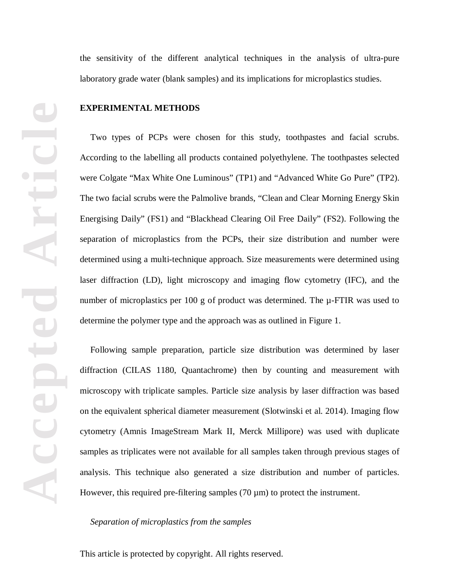the sensitivity of the different analytical techniques in the analysis of ultra-pure laboratory grade water (blank samples) and its implications for microplastics studies.

#### **EXPERIMENTAL METHODS**

Two types of PCPs were chosen for this study, toothpastes and facial scrubs. According to the labelling all products contained polyethylene. The toothpastes selected were Colgate "Max White One Luminous" (TP1) and "Advanced White Go Pure" (TP2). The two facial scrubs were the Palmolive brands, "Clean and Clear Morning Energy Skin Energising Daily" (FS1) and "Blackhead Clearing Oil Free Daily" (FS2). Following the separation of microplastics from the PCPs, their size distribution and number were determined using a multi-technique approach. Size measurements were determined using laser diffraction (LD), light microscopy and imaging flow cytometry (IFC), and the number of microplastics per 100 g of product was determined. The  $\mu$ -FTIR was used to determine the polymer type and the approach was as outlined in Figure 1.

Following sample preparation, particle size distribution was determined by laser diffraction (CILAS 1180, Quantachrome) then by counting and measurement with microscopy with triplicate samples. Particle size analysis by laser diffraction was based on the equivalent spherical diameter measurement (Slotwinski et al. 2014). Imaging flow cytometry (Amnis ImageStream Mark II, Merck Millipore) was used with duplicate samples as triplicates were not available for all samples taken through previous stages of analysis. This technique also generated a size distribution and number of particles. However, this required pre-filtering samples  $(70 \,\mu m)$  to protect the instrument.

*Separation of microplastics from the samples*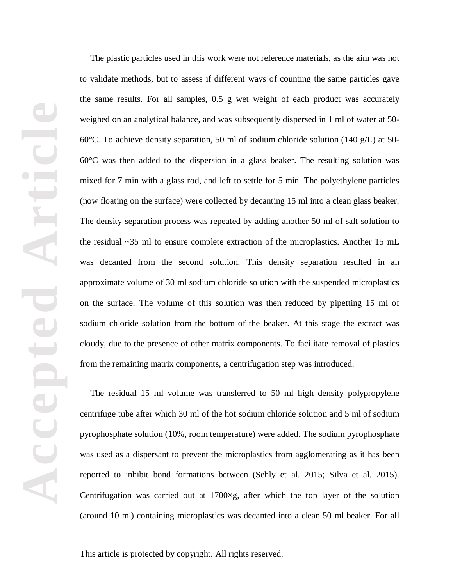The plastic particles used in this work were not reference materials, as the aim was not to validate methods, but to assess if different ways of counting the same particles gave the same results. For all samples, 0.5 g wet weight of each product was accurately weighed on an analytical balance, and was subsequently dispersed in 1 ml of water at 50- 60°C. To achieve density separation, 50 ml of sodium chloride solution (140 g/L) at 50- 60°C was then added to the dispersion in a glass beaker. The resulting solution was mixed for 7 min with a glass rod, and left to settle for 5 min. The polyethylene particles (now floating on the surface) were collected by decanting 15 ml into a clean glass beaker. The density separation process was repeated by adding another 50 ml of salt solution to the residual ~35 ml to ensure complete extraction of the microplastics. Another 15 mL was decanted from the second solution. This density separation resulted in an approximate volume of 30 ml sodium chloride solution with the suspended microplastics on the surface. The volume of this solution was then reduced by pipetting 15 ml of sodium chloride solution from the bottom of the beaker. At this stage the extract was cloudy, due to the presence of other matrix components. To facilitate removal of plastics from the remaining matrix components, a centrifugation step was introduced.

The residual 15 ml volume was transferred to 50 ml high density polypropylene centrifuge tube after which 30 ml of the hot sodium chloride solution and 5 ml of sodium pyrophosphate solution (10%, room temperature) were added. The sodium pyrophosphate was used as a dispersant to prevent the microplastics from agglomerating as it has been reported to inhibit bond formations between (Sehly et al. 2015; Silva et al. 2015). Centrifugation was carried out at 1700×g, after which the top layer of the solution (around 10 ml) containing microplastics was decanted into a clean 50 ml beaker. For all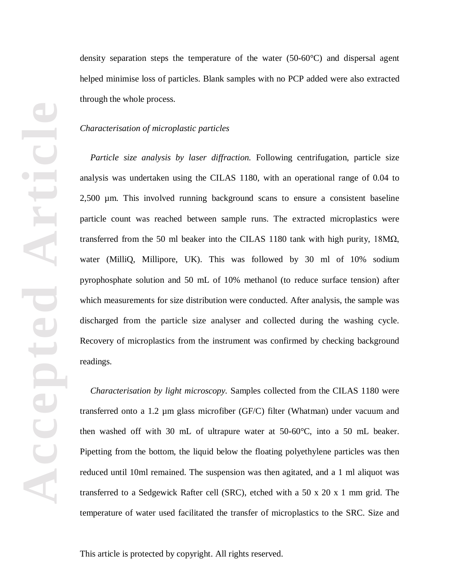density separation steps the temperature of the water  $(50-60^{\circ}C)$  and dispersal agent helped minimise loss of particles. Blank samples with no PCP added were also extracted through the whole process.

#### *Characterisation of microplastic particles*

*Particle size analysis by laser diffraction.* Following centrifugation, particle size analysis was undertaken using the CILAS 1180, with an operational range of 0.04 to 2,500 µm. This involved running background scans to ensure a consistent baseline particle count was reached between sample runs. The extracted microplastics were transferred from the 50 ml beaker into the CILAS 1180 tank with high purity,  $18M\Omega$ , water (MilliQ, Millipore, UK). This was followed by 30 ml of 10% sodium pyrophosphate solution and 50 mL of 10% methanol (to reduce surface tension) after which measurements for size distribution were conducted. After analysis, the sample was discharged from the particle size analyser and collected during the washing cycle. Recovery of microplastics from the instrument was confirmed by checking background readings.

*Characterisation by light microscopy.* Samples collected from the CILAS 1180 were transferred onto a 1.2 µm glass microfiber (GF/C) filter (Whatman) under vacuum and then washed off with 30 mL of ultrapure water at 50-60°C, into a 50 mL beaker. Pipetting from the bottom, the liquid below the floating polyethylene particles was then reduced until 10ml remained. The suspension was then agitated, and a 1 ml aliquot was transferred to a Sedgewick Rafter cell (SRC), etched with a 50 x 20 x 1 mm grid. The temperature of water used facilitated the transfer of microplastics to the SRC. Size and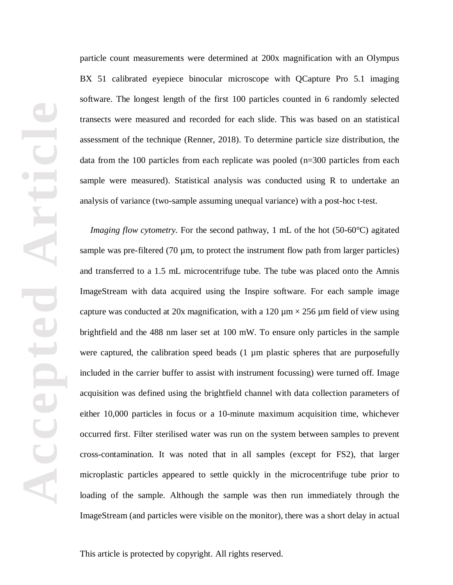particle count measurements were determined at 200x magnification with an Olympus BX 51 calibrated eyepiece binocular microscope with QCapture Pro 5.1 imaging software. The longest length of the first 100 particles counted in 6 randomly selected transects were measured and recorded for each slide. This was based on an statistical assessment of the technique (Renner, 2018). To determine particle size distribution, the data from the 100 particles from each replicate was pooled (n=300 particles from each sample were measured). Statistical analysis was conducted using R to undertake an analysis of variance (two-sample assuming unequal variance) with a post-hoc t-test.

*Imaging flow cytometry.* For the second pathway, 1 mL of the hot (50-60°C) agitated sample was pre-filtered  $(70 \mu m)$ , to protect the instrument flow path from larger particles) and transferred to a 1.5 mL microcentrifuge tube. The tube was placed onto the Amnis ImageStream with data acquired using the Inspire software. For each sample image capture was conducted at 20x magnification, with a 120  $\mu$ m  $\times$  256  $\mu$ m field of view using brightfield and the 488 nm laser set at 100 mW. To ensure only particles in the sample were captured, the calibration speed beads  $(1 \mu m)$  plastic spheres that are purposefully included in the carrier buffer to assist with instrument focussing) were turned off. Image acquisition was defined using the brightfield channel with data collection parameters of either 10,000 particles in focus or a 10-minute maximum acquisition time, whichever occurred first. Filter sterilised water was run on the system between samples to prevent cross-contamination. It was noted that in all samples (except for FS2), that larger microplastic particles appeared to settle quickly in the microcentrifuge tube prior to loading of the sample. Although the sample was then run immediately through the ImageStream (and particles were visible on the monitor), there was a short delay in actual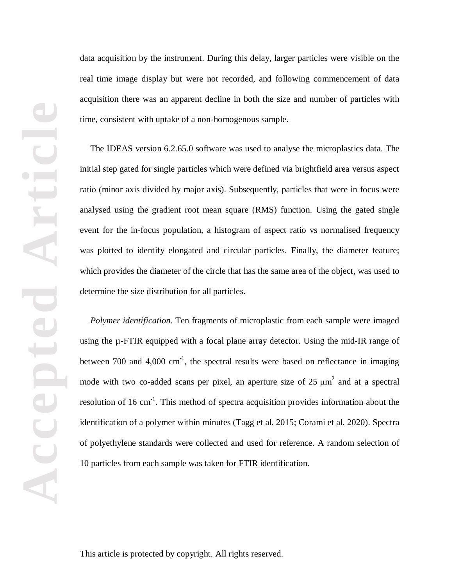data acquisition by the instrument. During this delay, larger particles were visible on the real time image display but were not recorded, and following commencement of data acquisition there was an apparent decline in both the size and number of particles with time, consistent with uptake of a non-homogenous sample.

The IDEAS version 6.2.65.0 software was used to analyse the microplastics data. The initial step gated for single particles which were defined via brightfield area versus aspect ratio (minor axis divided by major axis). Subsequently, particles that were in focus were analysed using the gradient root mean square (RMS) function. Using the gated single event for the in-focus population, a histogram of aspect ratio vs normalised frequency was plotted to identify elongated and circular particles. Finally, the diameter feature; which provides the diameter of the circle that has the same area of the object, was used to determine the size distribution for all particles.

*Polymer identification.* Ten fragments of microplastic from each sample were imaged using the µ-FTIR equipped with a focal plane array detector. Using the mid-IR range of between 700 and 4,000  $cm^{-1}$ , the spectral results were based on reflectance in imaging mode with two co-added scans per pixel, an aperture size of  $25 \mu m^2$  and at a spectral resolution of 16 cm<sup>-1</sup>. This method of spectra acquisition provides information about the identification of a polymer within minutes (Tagg et al. 2015; Corami et al. 2020). Spectra of polyethylene standards were collected and used for reference. A random selection of 10 particles from each sample was taken for FTIR identification.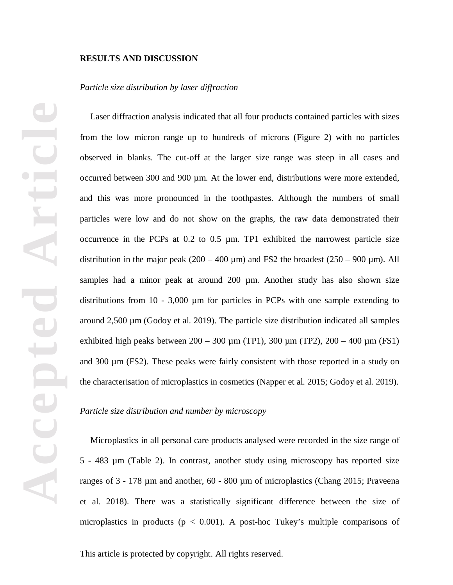#### **RESULTS AND DISCUSSION**

#### *Particle size distribution by laser diffraction*

Laser diffraction analysis indicated that all four products contained particles with sizes from the low micron range up to hundreds of microns (Figure 2) with no particles observed in blanks. The cut-off at the larger size range was steep in all cases and occurred between 300 and 900  $\mu$ m. At the lower end, distributions were more extended, and this was more pronounced in the toothpastes. Although the numbers of small particles were low and do not show on the graphs, the raw data demonstrated their occurrence in the PCPs at 0.2 to 0.5 µm. TP1 exhibited the narrowest particle size distribution in the major peak  $(200 - 400 \,\mu m)$  and FS2 the broadest  $(250 - 900 \,\mu m)$ . All samples had a minor peak at around 200 µm. Another study has also shown size distributions from 10 - 3,000 µm for particles in PCPs with one sample extending to around  $2,500 \mu$ m (Godoy et al. 2019). The particle size distribution indicated all samples exhibited high peaks between  $200 - 300 \mu m$  (TP1),  $300 \mu m$  (TP2),  $200 - 400 \mu m$  (FS1) and 300 µm (FS2). These peaks were fairly consistent with those reported in a study on the characterisation of microplastics in cosmetics (Napper et al. 2015; Godoy et al. 2019).

#### *Particle size distribution and number by microscopy*

Microplastics in all personal care products analysed were recorded in the size range of 5 - 483 µm (Table 2). In contrast, another study using microscopy has reported size ranges of 3 - 178 µm and another, 60 - 800 µm of microplastics (Chang 2015; Praveena et al. 2018). There was a statistically significant difference between the size of microplastics in products ( $p < 0.001$ ). A post-hoc Tukey's multiple comparisons of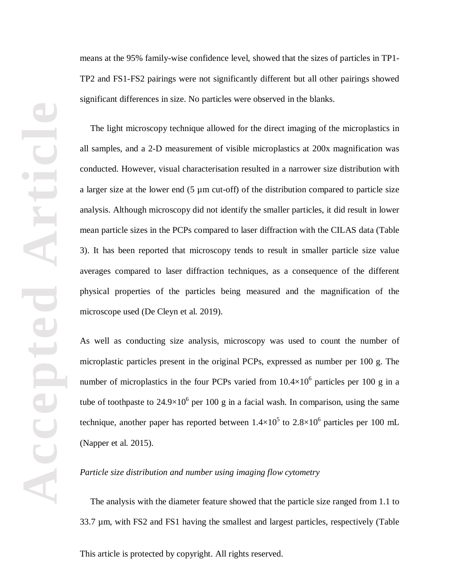means at the 95% family-wise confidence level, showed that the sizes of particles in TP1- TP2 and FS1-FS2 pairings were not significantly different but all other pairings showed significant differences in size. No particles were observed in the blanks.

The light microscopy technique allowed for the direct imaging of the microplastics in all samples, and a 2-D measurement of visible microplastics at 200x magnification was conducted. However, visual characterisation resulted in a narrower size distribution with a larger size at the lower end (5 µm cut-off) of the distribution compared to particle size analysis. Although microscopy did not identify the smaller particles, it did result in lower mean particle sizes in the PCPs compared to laser diffraction with the CILAS data (Table 3). It has been reported that microscopy tends to result in smaller particle size value averages compared to laser diffraction techniques, as a consequence of the different physical properties of the particles being measured and the magnification of the microscope used (De Cleyn et al. 2019).

As well as conducting size analysis, microscopy was used to count the number of microplastic particles present in the original PCPs, expressed as number per 100 g. The number of microplastics in the four PCPs varied from  $10.4\times10^6$  particles per 100 g in a tube of toothpaste to  $24.9\times10^6$  per 100 g in a facial wash. In comparison, using the same technique, another paper has reported between  $1.4\times10^5$  to  $2.8\times10^6$  particles per 100 mL (Napper et al. 2015).

### *Particle size distribution and number using imaging flow cytometry*

The analysis with the diameter feature showed that the particle size ranged from 1.1 to 33.7 µm, with FS2 and FS1 having the smallest and largest particles, respectively (Table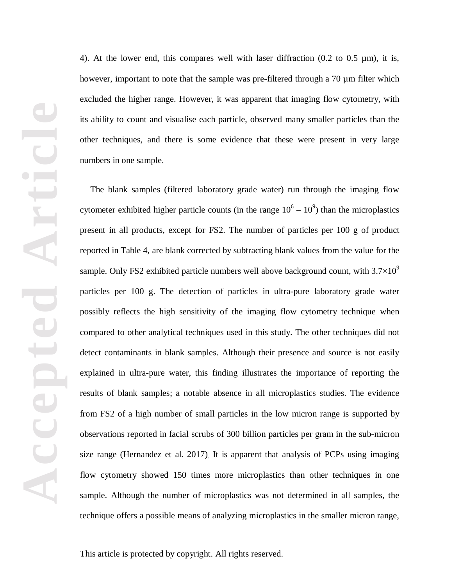4). At the lower end, this compares well with laser diffraction  $(0.2 \text{ to } 0.5 \text{ µm})$ , it is, however, important to note that the sample was pre-filtered through a 70 µm filter which excluded the higher range. However, it was apparent that imaging flow cytometry, with its ability to count and visualise each particle, observed many smaller particles than the other techniques, and there is some evidence that these were present in very large numbers in one sample.

The blank samples (filtered laboratory grade water) run through the imaging flow cytometer exhibited higher particle counts (in the range  $10^6 - 10^9$ ) than the microplastics present in all products, except for FS2. The number of particles per 100 g of product reported in Table 4, are blank corrected by subtracting blank values from the value for the sample. Only FS2 exhibited particle numbers well above background count, with  $3.7\times10^{9}$ particles per 100 g. The detection of particles in ultra-pure laboratory grade water possibly reflects the high sensitivity of the imaging flow cytometry technique when compared to other analytical techniques used in this study. The other techniques did not detect contaminants in blank samples. Although their presence and source is not easily explained in ultra-pure water, this finding illustrates the importance of reporting the results of blank samples; a notable absence in all microplastics studies. The evidence from FS2 of a high number of small particles in the low micron range is supported by observations reported in facial scrubs of 300 billion particles per gram in the sub-micron size range (Hernandez et al. 2017). It is apparent that analysis of PCPs using imaging flow cytometry showed 150 times more microplastics than other techniques in one sample. Although the number of microplastics was not determined in all samples, the technique offers a possible means of analyzing microplastics in the smaller micron range,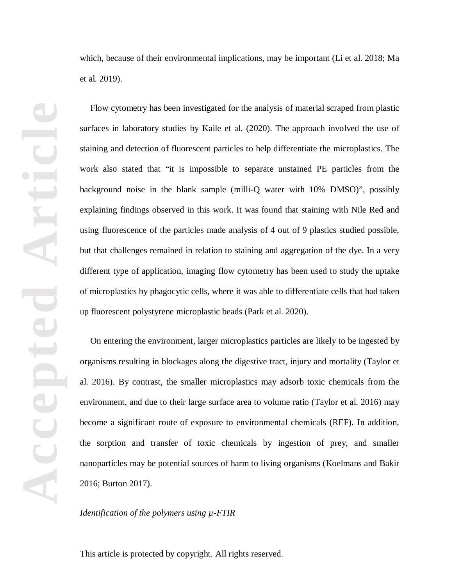Flow cytometry has been investigated for the analysis of material scraped from plastic surfaces in laboratory studies by Kaile et al. (2020). The approach involved the use of staining and detection of fluorescent particles to help differentiate the microplastics. The work also stated that "it is impossible to separate unstained PE particles from the background noise in the blank sample (milli-Q water with 10% DMSO)", possibly explaining findings observed in this work. It was found that staining with Nile Red and using fluorescence of the particles made analysis of 4 out of 9 plastics studied possible, but that challenges remained in relation to staining and aggregation of the dye. In a very different type of application, imaging flow cytometry has been used to study the uptake of microplastics by phagocytic cells, where it was able to differentiate cells that had taken up fluorescent polystyrene microplastic beads (Park et al. 2020).

On entering the environment, larger microplastics particles are likely to be ingested by organisms resulting in blockages along the digestive tract, injury and mortality (Taylor et al. 2016). By contrast, the smaller microplastics may adsorb toxic chemicals from the environment, and due to their large surface area to volume ratio (Taylor et al. 2016) may become a significant route of exposure to environmental chemicals (REF). In addition, the sorption and transfer of toxic chemicals by ingestion of prey, and smaller nanoparticles may be potential sources of harm to living organisms (Koelmans and Bakir 2016; Burton 2017).

### *Identification of the polymers using µ-FTIR*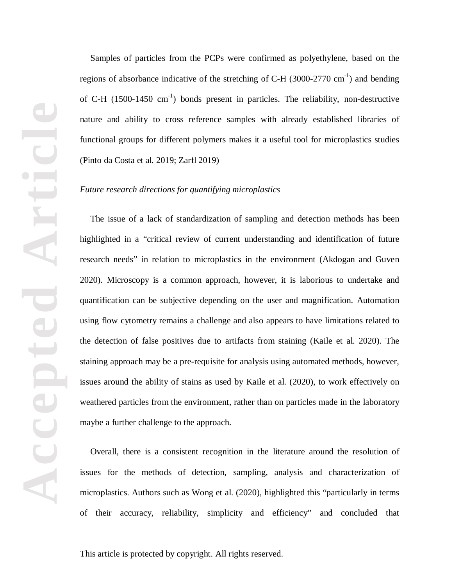Samples of particles from the PCPs were confirmed as polyethylene, based on the regions of absorbance indicative of the stretching of C-H  $(3000-2770 \text{ cm}^{-1})$  and bending of C-H  $(1500-1450 \text{ cm}^{-1})$  bonds present in particles. The reliability, non-destructive nature and ability to cross reference samples with already established libraries of functional groups for different polymers makes it a useful tool for microplastics studies (Pinto da Costa et al. 2019; Zarfl 2019)

#### *Future research directions for quantifying microplastics*

The issue of a lack of standardization of sampling and detection methods has been highlighted in a "critical review of current understanding and identification of future research needs" in relation to microplastics in the environment (Akdogan and Guven 2020). Microscopy is a common approach, however, it is laborious to undertake and quantification can be subjective depending on the user and magnification. Automation using flow cytometry remains a challenge and also appears to have limitations related to the detection of false positives due to artifacts from staining (Kaile et al. 2020). The staining approach may be a pre-requisite for analysis using automated methods, however, issues around the ability of stains as used by Kaile et al. (2020), to work effectively on weathered particles from the environment, rather than on particles made in the laboratory maybe a further challenge to the approach.

Overall, there is a consistent recognition in the literature around the resolution of issues for the methods of detection, sampling, analysis and characterization of microplastics. Authors such as Wong et al. (2020), highlighted this "particularly in terms of their accuracy, reliability, simplicity and efficiency" and concluded that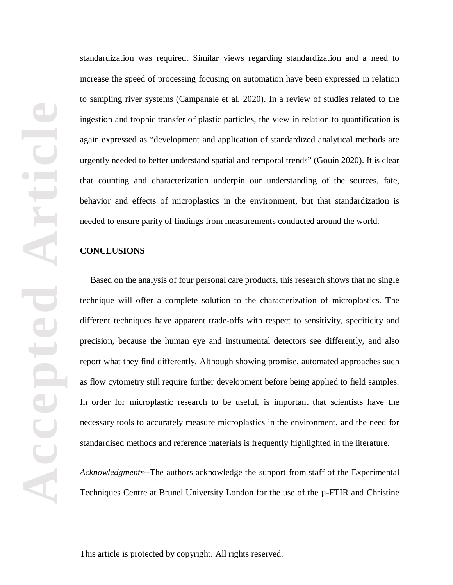standardization was required. Similar views regarding standardization and a need to increase the speed of processing focusing on automation have been expressed in relation to sampling river systems (Campanale et al. 2020). In a review of studies related to the ingestion and trophic transfer of plastic particles, the view in relation to quantification is again expressed as "development and application of standardized analytical methods are urgently needed to better understand spatial and temporal trends" (Gouin 2020). It is clear that counting and characterization underpin our understanding of the sources, fate, behavior and effects of microplastics in the environment, but that standardization is needed to ensure parity of findings from measurements conducted around the world.

#### **CONCLUSIONS**

Based on the analysis of four personal care products, this research shows that no single technique will offer a complete solution to the characterization of microplastics. The different techniques have apparent trade-offs with respect to sensitivity, specificity and precision, because the human eye and instrumental detectors see differently, and also report what they find differently. Although showing promise, automated approaches such as flow cytometry still require further development before being applied to field samples. In order for microplastic research to be useful, is important that scientists have the necessary tools to accurately measure microplastics in the environment, and the need for standardised methods and reference materials is frequently highlighted in the literature.

*Acknowledgments--*The authors acknowledge the support from staff of the Experimental Techniques Centre at Brunel University London for the use of the µ-FTIR and Christine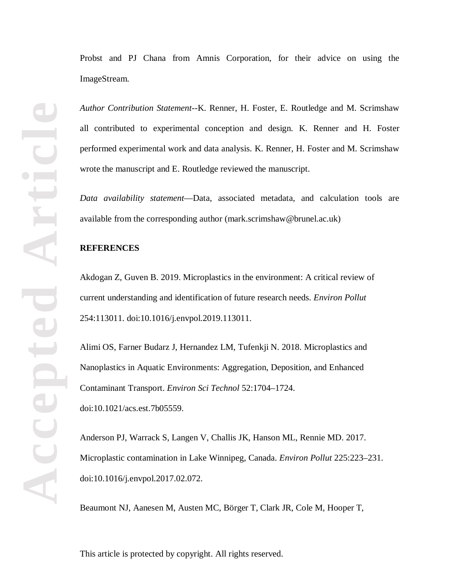Probst and PJ Chana from Amnis Corporation, for their advice on using the ImageStream.

*Author Contribution Statement--*K. Renner, H. Foster, E. Routledge and M. Scrimshaw all contributed to experimental conception and design. K. Renner and H. Foster performed experimental work and data analysis. K. Renner, H. Foster and M. Scrimshaw wrote the manuscript and E. Routledge reviewed the manuscript.

*Data availability statement*—Data, associated metadata, and calculation tools are available from the corresponding author (mark.scrimshaw@brunel.ac.uk)

## **REFERENCES**

Akdogan Z, Guven B. 2019. Microplastics in the environment: A critical review of current understanding and identification of future research needs. *Environ Pollut* 254:113011. doi:10.1016/j.envpol.2019.113011.

Alimi OS, Farner Budarz J, Hernandez LM, Tufenkji N. 2018. Microplastics and Nanoplastics in Aquatic Environments: Aggregation, Deposition, and Enhanced Contaminant Transport. *Environ Sci Technol* 52:1704–1724. doi:10.1021/acs.est.7b05559.

Anderson PJ, Warrack S, Langen V, Challis JK, Hanson ML, Rennie MD. 2017. Microplastic contamination in Lake Winnipeg, Canada. *Environ Pollut* 225:223–231. doi:10.1016/j.envpol.2017.02.072.

Beaumont NJ, Aanesen M, Austen MC, Börger T, Clark JR, Cole M, Hooper T,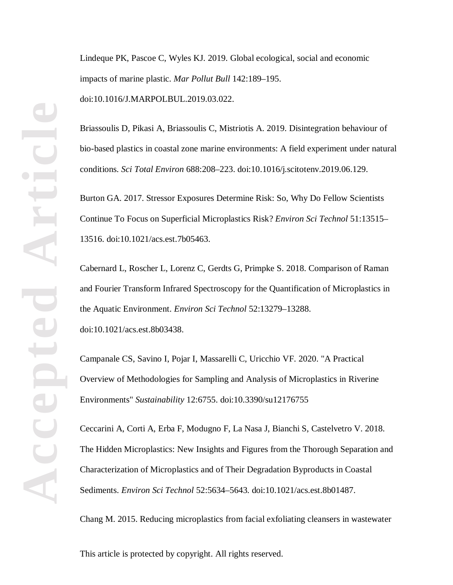Lindeque PK, Pascoe C, Wyles KJ. 2019. Global ecological, social and economic impacts of marine plastic. *Mar Pollut Bull* 142:189–195. doi:10.1016/J.MARPOLBUL.2019.03.022.

Briassoulis D, Pikasi A, Briassoulis C, Mistriotis A. 2019. Disintegration behaviour of bio-based plastics in coastal zone marine environments: A field experiment under natural conditions. *Sci Total Environ* 688:208–223. doi:10.1016/j.scitotenv.2019.06.129.

Burton GA. 2017. Stressor Exposures Determine Risk: So, Why Do Fellow Scientists Continue To Focus on Superficial Microplastics Risk? *Environ Sci Technol* 51:13515– 13516. doi:10.1021/acs.est.7b05463.

Cabernard L, Roscher L, Lorenz C, Gerdts G, Primpke S. 2018. Comparison of Raman and Fourier Transform Infrared Spectroscopy for the Quantification of Microplastics in the Aquatic Environment. *Environ Sci Technol* 52:13279–13288. doi:10.1021/acs.est.8b03438.

Campanale CS, Savino I, Pojar I, Massarelli C, Uricchio VF. 2020. "A Practical Overview of Methodologies for Sampling and Analysis of Microplastics in Riverine Environments" *Sustainability* 12:6755. doi:10.3390/su12176755

Ceccarini A, Corti A, Erba F, Modugno F, La Nasa J, Bianchi S, Castelvetro V. 2018. The Hidden Microplastics: New Insights and Figures from the Thorough Separation and Characterization of Microplastics and of Their Degradation Byproducts in Coastal Sediments. *Environ Sci Technol* 52:5634–5643. doi:10.1021/acs.est.8b01487.

Chang M. 2015. Reducing microplastics from facial exfoliating cleansers in wastewater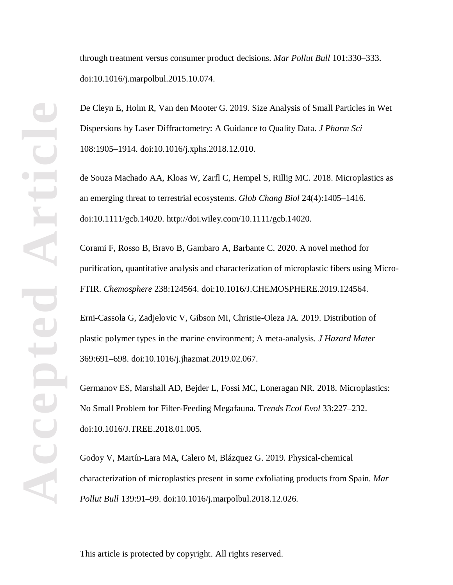through treatment versus consumer product decisions. *Mar Pollut Bull* 101:330–333. doi:10.1016/j.marpolbul.2015.10.074.

De Cleyn E, Holm R, Van den Mooter G. 2019. Size Analysis of Small Particles in Wet Dispersions by Laser Diffractometry: A Guidance to Quality Data. *J Pharm Sci* 108:1905–1914. doi:10.1016/j.xphs.2018.12.010.

de Souza Machado AA, Kloas W, Zarfl C, Hempel S, Rillig MC. 2018. Microplastics as an emerging threat to terrestrial ecosystems. *Glob Chang Biol* 24(4):1405–1416. doi:10.1111/gcb.14020. http://doi.wiley.com/10.1111/gcb.14020.

Corami F, Rosso B, Bravo B, Gambaro A, Barbante C. 2020. A novel method for purification, quantitative analysis and characterization of microplastic fibers using Micro-FTIR. *Chemosphere* 238:124564. doi:10.1016/J.CHEMOSPHERE.2019.124564.

Erni-Cassola G, Zadjelovic V, Gibson MI, Christie-Oleza JA. 2019. Distribution of plastic polymer types in the marine environment; A meta-analysis. *J Hazard Mater* 369:691–698. doi:10.1016/j.jhazmat.2019.02.067.

Germanov ES, Marshall AD, Bejder L, Fossi MC, Loneragan NR. 2018. Microplastics: No Small Problem for Filter-Feeding Megafauna. T*rends Ecol Evol* 33:227–232. doi:10.1016/J.TREE.2018.01.005.

Godoy V, Martín-Lara MA, Calero M, Blázquez G. 2019. Physical-chemical characterization of microplastics present in some exfoliating products from Spain. *Mar Pollut Bull* 139:91–99. doi:10.1016/j.marpolbul.2018.12.026.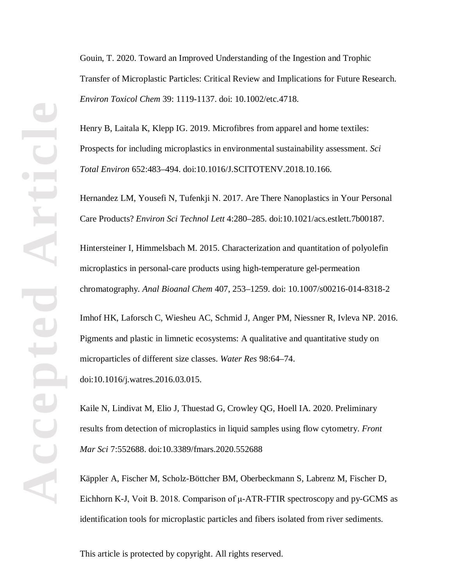Gouin, T. 2020. Toward an Improved Understanding of the Ingestion and Trophic Transfer of Microplastic Particles: Critical Review and Implications for Future Research. *Environ Toxicol Chem* 39: 1119-1137. doi: 10.1002/etc.4718.

Henry B, Laitala K, Klepp IG. 2019. Microfibres from apparel and home textiles: Prospects for including microplastics in environmental sustainability assessment. *Sci Total Environ* 652:483–494. doi:10.1016/J.SCITOTENV.2018.10.166.

Hernandez LM, Yousefi N, Tufenkji N. 2017. Are There Nanoplastics in Your Personal Care Products? *Environ Sci Technol Lett* 4:280–285. doi:10.1021/acs.estlett.7b00187.

Hintersteiner I, Himmelsbach M. 2015. Characterization and quantitation of polyolefin microplastics in personal-care products using high-temperature gel-permeation chromatography. *Anal Bioanal Chem* 407, 253–1259. doi: 10.1007/s00216-014-8318-2

Imhof HK, Laforsch C, Wiesheu AC, Schmid J, Anger PM, Niessner R, Ivleva NP. 2016. Pigments and plastic in limnetic ecosystems: A qualitative and quantitative study on microparticles of different size classes. *Water Res* 98:64–74. doi:10.1016/j.watres.2016.03.015.

Kaile N, Lindivat M, Elio J, Thuestad G, Crowley QG, Hoell IA. 2020. Preliminary results from detection of microplastics in liquid samples using flow cytometry. *Front Mar Sci* 7:552688. doi:10.3389/fmars.2020.552688

Käppler A, Fischer M, Scholz-Böttcher BM, Oberbeckmann S, Labrenz M, Fischer D, Eichhorn K-J, Voit B. 2018. Comparison of μ-ATR-FTIR spectroscopy and py-GCMS as identification tools for microplastic particles and fibers isolated from river sediments.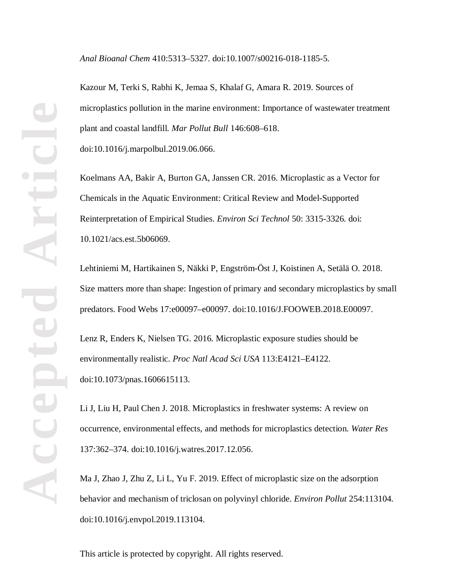*Anal Bioanal Chem* 410:5313–5327. doi:10.1007/s00216-018-1185-5.

Kazour M, Terki S, Rabhi K, Jemaa S, Khalaf G, Amara R. 2019. Sources of microplastics pollution in the marine environment: Importance of wastewater treatment plant and coastal landfill. *Mar Pollut Bull* 146:608–618. doi:10.1016/j.marpolbul.2019.06.066.

Koelmans AA, Bakir A, Burton GA, Janssen CR. 2016. Microplastic as a Vector for Chemicals in the Aquatic Environment: Critical Review and Model-Supported Reinterpretation of Empirical Studies. *Environ Sci Technol* 50: 3315-3326. doi: 10.1021/acs.est.5b06069.

Lehtiniemi M, Hartikainen S, Näkki P, Engström-Öst J, Koistinen A, Setälä O. 2018. Size matters more than shape: Ingestion of primary and secondary microplastics by small predators. Food Webs 17:e00097–e00097. doi:10.1016/J.FOOWEB.2018.E00097.

Lenz R, Enders K, Nielsen TG. 2016. Microplastic exposure studies should be environmentally realistic. *Proc Natl Acad Sci USA* 113:E4121–E4122. doi:10.1073/pnas.1606615113.

Li J, Liu H, Paul Chen J. 2018. Microplastics in freshwater systems: A review on occurrence, environmental effects, and methods for microplastics detection. *Water Res* 137:362–374. doi:10.1016/j.watres.2017.12.056.

Ma J, Zhao J, Zhu Z, Li L, Yu F. 2019. Effect of microplastic size on the adsorption behavior and mechanism of triclosan on polyvinyl chloride. *Environ Pollut* 254:113104. doi:10.1016/j.envpol.2019.113104.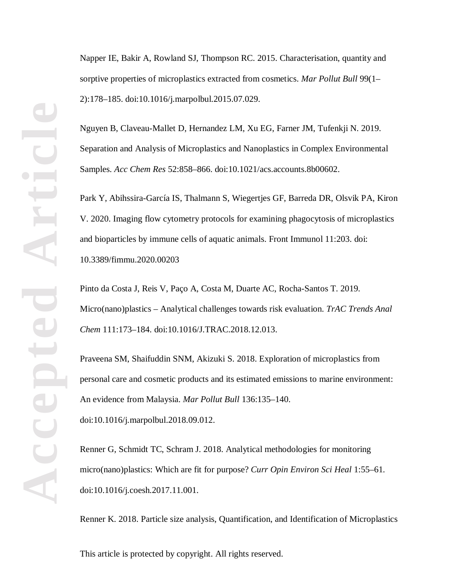Napper IE, Bakir A, Rowland SJ, Thompson RC. 2015. Characterisation, quantity and sorptive properties of microplastics extracted from cosmetics. *Mar Pollut Bull* 99(1– 2):178–185. doi:10.1016/j.marpolbul.2015.07.029.

Nguyen B, Claveau-Mallet D, Hernandez LM, Xu EG, Farner JM, Tufenkji N. 2019. Separation and Analysis of Microplastics and Nanoplastics in Complex Environmental Samples. *Acc Chem Res* 52:858–866. doi:10.1021/acs.accounts.8b00602.

Park Y, Abihssira-García IS, Thalmann S, Wiegertjes GF, Barreda DR, Olsvik PA, Kiron V. 2020. Imaging flow cytometry protocols for examining phagocytosis of microplastics and bioparticles by immune cells of aquatic animals. Front Immunol 11:203. doi: 10.3389/fimmu.2020.00203

Pinto da Costa J, Reis V, Paço A, Costa M, Duarte AC, Rocha-Santos T. 2019. Micro(nano)plastics – Analytical challenges towards risk evaluation. *TrAC Trends Anal Chem* 111:173–184. doi:10.1016/J.TRAC.2018.12.013.

Praveena SM, Shaifuddin SNM, Akizuki S. 2018. Exploration of microplastics from personal care and cosmetic products and its estimated emissions to marine environment: An evidence from Malaysia. *Mar Pollut Bull* 136:135–140. doi:10.1016/j.marpolbul.2018.09.012.

Renner G, Schmidt TC, Schram J. 2018. Analytical methodologies for monitoring micro(nano)plastics: Which are fit for purpose? *Curr Opin Environ Sci Heal* 1:55–61. doi:10.1016/j.coesh.2017.11.001.

Renner K. 2018. Particle size analysis, Quantification, and Identification of Microplastics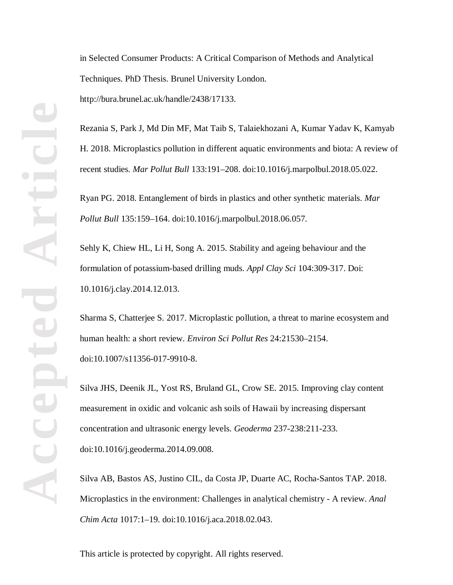in Selected Consumer Products: A Critical Comparison of Methods and Analytical Techniques. PhD Thesis. Brunel University London. http://bura.brunel.ac.uk/handle/2438/17133.

Rezania S, Park J, Md Din MF, Mat Taib S, Talaiekhozani A, Kumar Yadav K, Kamyab H. 2018. Microplastics pollution in different aquatic environments and biota: A review of recent studies. *Mar Pollut Bull* 133:191–208. doi:10.1016/j.marpolbul.2018.05.022.

Ryan PG. 2018. Entanglement of birds in plastics and other synthetic materials. *Mar Pollut Bull* 135:159–164. doi:10.1016/j.marpolbul.2018.06.057.

Sehly K, Chiew HL, Li H, Song A. 2015. Stability and ageing behaviour and the formulation of potassium-based drilling muds. *Appl Clay Sci* 104:309-317. Doi: 10.1016/j.clay.2014.12.013.

Sharma S, Chatterjee S. 2017. Microplastic pollution, a threat to marine ecosystem and human health: a short review. *Environ Sci Pollut Res* 24:21530–2154. doi:10.1007/s11356-017-9910-8.

Silva JHS, Deenik JL, Yost RS, Bruland GL, Crow SE. 2015. Improving clay content measurement in oxidic and volcanic ash soils of Hawaii by increasing dispersant concentration and ultrasonic energy levels. *Geoderma* 237-238:211-233. doi:10.1016/j.geoderma.2014.09.008.

Silva AB, Bastos AS, Justino CIL, da Costa JP, Duarte AC, Rocha-Santos TAP. 2018. Microplastics in the environment: Challenges in analytical chemistry - A review. *Anal Chim Acta* 1017:1–19. doi:10.1016/j.aca.2018.02.043.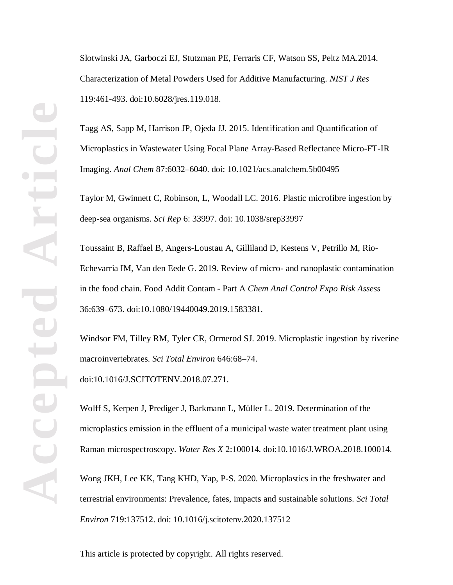Slotwinski JA, Garboczi EJ, Stutzman PE, Ferraris CF, Watson SS, Peltz MA.2014. Characterization of Metal Powders Used for Additive Manufacturing. *NIST J Res* 119:461-493. doi:10.6028/jres.119.018.

Tagg AS, Sapp M, Harrison JP, Ojeda JJ. 2015. Identification and Quantification of Microplastics in Wastewater Using Focal Plane Array-Based Reflectance Micro-FT-IR Imaging. *Anal Chem* 87:6032–6040. doi: 10.1021/acs.analchem.5b00495

Taylor M, Gwinnett C, Robinson, L, Woodall LC. 2016. Plastic microfibre ingestion by deep-sea organisms. *Sci Rep* 6: 33997. doi: 10.1038/srep33997

Toussaint B, Raffael B, Angers-Loustau A, Gilliland D, Kestens V, Petrillo M, Rio-Echevarria IM, Van den Eede G. 2019. Review of micro- and nanoplastic contamination in the food chain. Food Addit Contam - Part A *Chem Anal Control Expo Risk Assess* 36:639–673. doi:10.1080/19440049.2019.1583381.

Windsor FM, Tilley RM, Tyler CR, Ormerod SJ. 2019. Microplastic ingestion by riverine macroinvertebrates. *Sci Total Environ* 646:68–74. doi:10.1016/J.SCITOTENV.2018.07.271.

Wolff S, Kerpen J, Prediger J, Barkmann L, Müller L. 2019. Determination of the microplastics emission in the effluent of a municipal waste water treatment plant using Raman microspectroscopy. *Water Res X* 2:100014. doi:10.1016/J.WROA.2018.100014.

Wong JKH, Lee KK, Tang KHD, Yap, P-S. 2020. Microplastics in the freshwater and terrestrial environments: Prevalence, fates, impacts and sustainable solutions. *Sci Total Environ* 719:137512. doi: 10.1016/j.scitotenv.2020.137512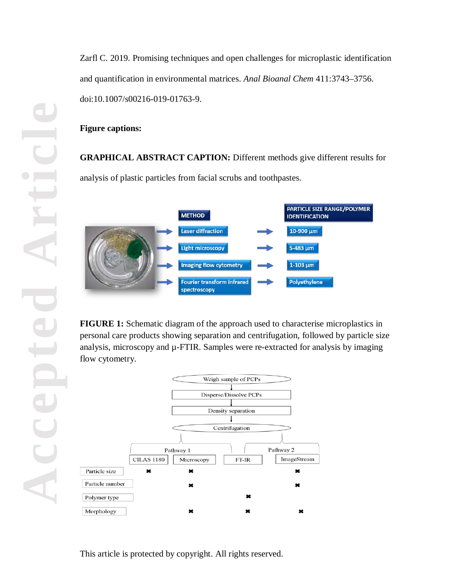**Accepted Article** DIC 

Zarfl C. 2019. Promising techniques and open challenges for microplastic identification and quantification in environmental matrices. *Anal Bioanal Chem* 411:3743–3756. doi:10.1007/s00216-019-01763-9.

# **Figure captions:**

**GRAPHICAL ABSTRACT CAPTION:** Different methods give different results for analysis of plastic particles from facial scrubs and toothpastes.



**FIGURE 1:** Schematic diagram of the approach used to characterise microplastics in personal care products showing separation and centrifugation, followed by particle size analysis, microscopy and  $\mu$ -FTIR. Samples were re-extracted for analysis by imaging flow cytometry.

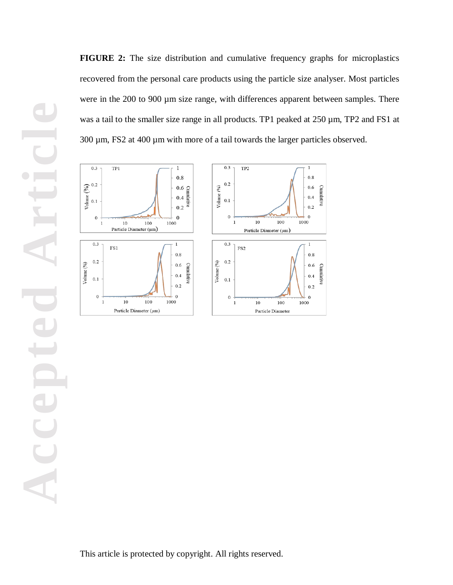**FIGURE 2:** The size distribution and cumulative frequency graphs for microplastics recovered from the personal care products using the particle size analyser. Most particles were in the 200 to 900  $\mu$ m size range, with differences apparent between samples. There was a tail to the smaller size range in all products. TP1 peaked at 250  $\mu$ m, TP2 and FS1 at 300 µm, FS2 at 400 µm with more of a tail towards the larger particles observed.

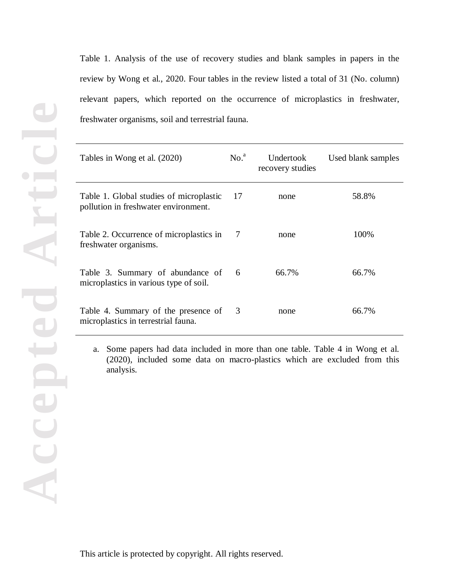Table 1. Analysis of the use of recovery studies and blank samples in papers in the review by Wong et al., 2020. Four tables in the review listed a total of 31 (No. column) relevant papers, which reported on the occurrence of microplastics in freshwater, freshwater organisms, soil and terrestrial fauna.

| Tables in Wong et al. (2020)                                                    | No. <sup>a</sup> | Undertook<br>recovery studies | Used blank samples |
|---------------------------------------------------------------------------------|------------------|-------------------------------|--------------------|
| Table 1. Global studies of microplastic<br>pollution in freshwater environment. | -17              | none                          | 58.8%              |
| Table 2. Occurrence of microplastics in<br>freshwater organisms.                | -7               | none                          | 100%               |
| Table 3. Summary of abundance of<br>microplastics in various type of soil.      | 6                | 66.7%                         | 66.7%              |
| Table 4. Summary of the presence of<br>microplastics in terrestrial fauna.      | 3                | none                          | 66.7%              |

a. Some papers had data included in more than one table. Table 4 in Wong et al. (2020), included some data on macro-plastics which are excluded from this analysis.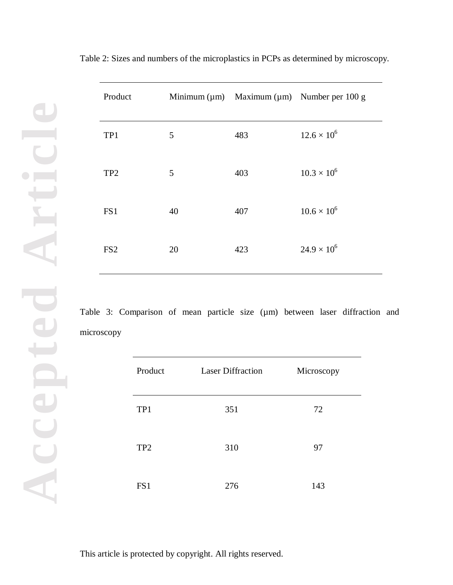| Product         |    |     | Minimum ( $\mu$ m) Maximum ( $\mu$ m) Number per 100 g |
|-----------------|----|-----|--------------------------------------------------------|
| TP1             | 5  | 483 | $12.6 \times 10^{6}$                                   |
| TP <sub>2</sub> | 5  | 403 | $10.3 \times 10^{6}$                                   |
| FS1             | 40 | 407 | $10.6 \times 10^{6}$                                   |
| FS <sub>2</sub> | 20 | 423 | $24.9 \times 10^{6}$                                   |

Table 2: Sizes and numbers of the microplastics in PCPs as determined by microscopy.

Table 3: Comparison of mean particle size (um) between laser diffraction and microscopy

| Product         | <b>Laser Diffraction</b> | Microscopy |
|-----------------|--------------------------|------------|
| TP1             | 351                      | 72         |
| TP <sub>2</sub> | 310                      | 97         |
| FS1             | 276                      | 143        |